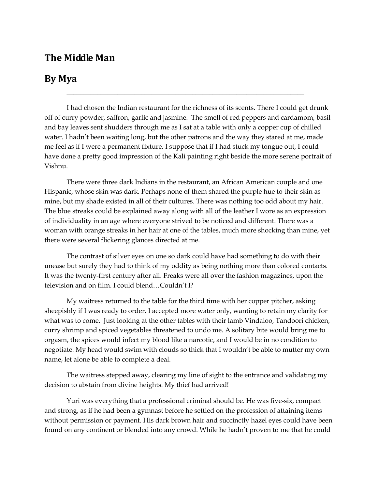## **The Middle Man**

## **By Mya**

I had chosen the Indian restaurant for the richness of its scents. There I could get drunk off of curry powder, saffron, garlic and jasmine. The smell of red peppers and cardamom, basil and bay leaves sent shudders through me as I sat at a table with only a copper cup of chilled water. I hadn't been waiting long, but the other patrons and the way they stared at me, made me feel as if I were a permanent fixture. I suppose that if I had stuck my tongue out, I could have done a pretty good impression of the Kali painting right beside the more serene portrait of Vishnu.

\_\_\_\_\_\_\_\_\_\_\_\_\_\_\_\_\_\_\_\_\_\_\_\_\_\_\_\_\_\_\_\_\_\_\_\_\_\_\_\_\_\_\_\_\_\_\_\_\_\_\_\_\_\_\_\_\_\_\_\_\_\_\_\_\_\_\_\_\_\_

There were three dark Indians in the restaurant, an African American couple and one Hispanic, whose skin was dark. Perhaps none of them shared the purple hue to their skin as mine, but my shade existed in all of their cultures. There was nothing too odd about my hair. The blue streaks could be explained away along with all of the leather I wore as an expression of individuality in an age where everyone strived to be noticed and different. There was a woman with orange streaks in her hair at one of the tables, much more shocking than mine, yet there were several flickering glances directed at me.

The contrast of silver eyes on one so dark could have had something to do with their unease but surely they had to think of my oddity as being nothing more than colored contacts. It was the twenty-first century after all. Freaks were all over the fashion magazines, upon the television and on film. I could blend…Couldn't I?

My waitress returned to the table for the third time with her copper pitcher, asking sheepishly if I was ready to order. I accepted more water only, wanting to retain my clarity for what was to come. Just looking at the other tables with their lamb Vindaloo, Tandoori chicken, curry shrimp and spiced vegetables threatened to undo me. A solitary bite would bring me to orgasm, the spices would infect my blood like a narcotic, and I would be in no condition to negotiate. My head would swim with clouds so thick that I wouldn't be able to mutter my own name, let alone be able to complete a deal.

The waitress stepped away, clearing my line of sight to the entrance and validating my decision to abstain from divine heights. My thief had arrived!

Yuri was everything that a professional criminal should be. He was five-six, compact and strong, as if he had been a gymnast before he settled on the profession of attaining items without permission or payment. His dark brown hair and succinctly hazel eyes could have been found on any continent or blended into any crowd. While he hadn't proven to me that he could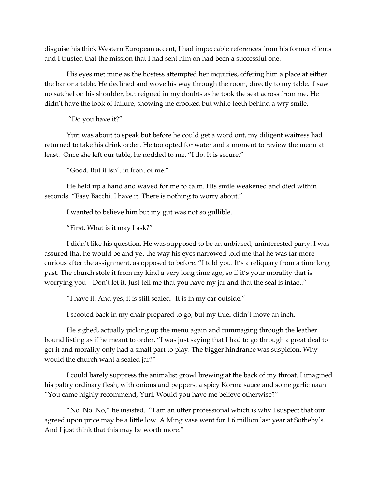disguise his thick Western European accent, I had impeccable references from his former clients and I trusted that the mission that I had sent him on had been a successful one.

His eyes met mine as the hostess attempted her inquiries, offering him a place at either the bar or a table. He declined and wove his way through the room, directly to my table. I saw no satchel on his shoulder, but reigned in my doubts as he took the seat across from me. He didn't have the look of failure, showing me crooked but white teeth behind a wry smile.

"Do you have it?"

Yuri was about to speak but before he could get a word out, my diligent waitress had returned to take his drink order. He too opted for water and a moment to review the menu at least. Once she left our table, he nodded to me. "I do. It is secure."

"Good. But it isn't in front of me."

He held up a hand and waved for me to calm. His smile weakened and died within seconds. "Easy Bacchi. I have it. There is nothing to worry about."

I wanted to believe him but my gut was not so gullible.

"First. What is it may I ask?"

I didn't like his question. He was supposed to be an unbiased, uninterested party. I was assured that he would be and yet the way his eyes narrowed told me that he was far more curious after the assignment, as opposed to before. "I told you. It's a reliquary from a time long past. The church stole it from my kind a very long time ago, so if it's your morality that is worrying you—Don't let it. Just tell me that you have my jar and that the seal is intact."

"I have it. And yes, it is still sealed. It is in my car outside."

I scooted back in my chair prepared to go, but my thief didn't move an inch.

He sighed, actually picking up the menu again and rummaging through the leather bound listing as if he meant to order. "I was just saying that I had to go through a great deal to get it and morality only had a small part to play. The bigger hindrance was suspicion. Why would the church want a sealed jar?"

I could barely suppress the animalist growl brewing at the back of my throat. I imagined his paltry ordinary flesh, with onions and peppers, a spicy Korma sauce and some garlic naan. "You came highly recommend, Yuri. Would you have me believe otherwise?"

"No. No. No," he insisted. "I am an utter professional which is why I suspect that our agreed upon price may be a little low. A Ming vase went for 1.6 million last year at Sotheby's. And I just think that this may be worth more."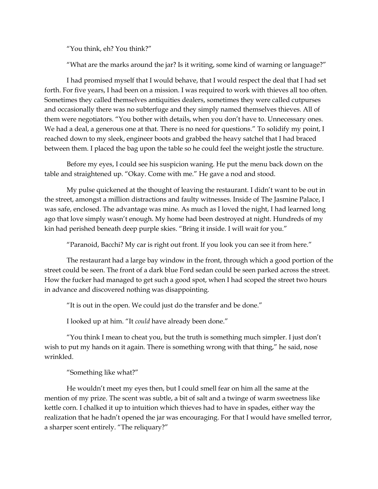"You think, eh? You think?"

"What are the marks around the jar? Is it writing, some kind of warning or language?"

I had promised myself that I would behave, that I would respect the deal that I had set forth. For five years, I had been on a mission. I was required to work with thieves all too often. Sometimes they called themselves antiquities dealers, sometimes they were called cutpurses and occasionally there was no subterfuge and they simply named themselves thieves. All of them were negotiators. "You bother with details, when you don't have to. Unnecessary ones. We had a deal, a generous one at that. There is no need for questions." To solidify my point, I reached down to my sleek, engineer boots and grabbed the heavy satchel that I had braced between them. I placed the bag upon the table so he could feel the weight jostle the structure.

Before my eyes, I could see his suspicion waning. He put the menu back down on the table and straightened up. "Okay. Come with me." He gave a nod and stood.

My pulse quickened at the thought of leaving the restaurant. I didn't want to be out in the street, amongst a million distractions and faulty witnesses. Inside of The Jasmine Palace, I was safe, enclosed. The advantage was mine. As much as I loved the night, I had learned long ago that love simply wasn't enough. My home had been destroyed at night. Hundreds of my kin had perished beneath deep purple skies. "Bring it inside. I will wait for you."

"Paranoid, Bacchi? My car is right out front. If you look you can see it from here."

The restaurant had a large bay window in the front, through which a good portion of the street could be seen. The front of a dark blue Ford sedan could be seen parked across the street. How the fucker had managed to get such a good spot, when I had scoped the street two hours in advance and discovered nothing was disappointing.

"It is out in the open. We could just do the transfer and be done."

I looked up at him. "It *could* have already been done."

"You think I mean to cheat you, but the truth is something much simpler. I just don't wish to put my hands on it again. There is something wrong with that thing," he said, nose wrinkled.

"Something like what?"

He wouldn't meet my eyes then, but I could smell fear on him all the same at the mention of my prize. The scent was subtle, a bit of salt and a twinge of warm sweetness like kettle corn. I chalked it up to intuition which thieves had to have in spades, either way the realization that he hadn't opened the jar was encouraging. For that I would have smelled terror, a sharper scent entirely. "The reliquary?"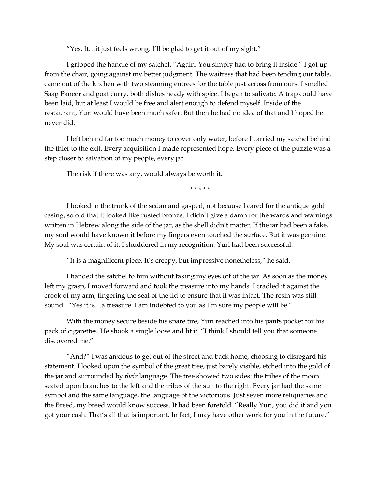"Yes. It…it just feels wrong. I'll be glad to get it out of my sight."

I gripped the handle of my satchel. "Again. You simply had to bring it inside." I got up from the chair, going against my better judgment. The waitress that had been tending our table, came out of the kitchen with two steaming entrees for the table just across from ours. I smelled Saag Paneer and goat curry, both dishes heady with spice. I began to salivate. A trap could have been laid, but at least I would be free and alert enough to defend myself. Inside of the restaurant, Yuri would have been much safer. But then he had no idea of that and I hoped he never did.

I left behind far too much money to cover only water, before I carried my satchel behind the thief to the exit. Every acquisition I made represented hope. Every piece of the puzzle was a step closer to salvation of my people, every jar.

The risk if there was any, would always be worth it.

\* \* \* \* \*

I looked in the trunk of the sedan and gasped, not because I cared for the antique gold casing, so old that it looked like rusted bronze. I didn't give a damn for the wards and warnings written in Hebrew along the side of the jar, as the shell didn't matter. If the jar had been a fake, my soul would have known it before my fingers even touched the surface. But it was genuine. My soul was certain of it. I shuddered in my recognition. Yuri had been successful.

"It is a magnificent piece. It's creepy, but impressive nonetheless," he said.

I handed the satchel to him without taking my eyes off of the jar. As soon as the money left my grasp, I moved forward and took the treasure into my hands. I cradled it against the crook of my arm, fingering the seal of the lid to ensure that it was intact. The resin was still sound. "Yes it is...a treasure. I am indebted to you as I'm sure my people will be."

With the money secure beside his spare tire, Yuri reached into his pants pocket for his pack of cigarettes. He shook a single loose and lit it. "I think I should tell you that someone discovered me."

"And?" I was anxious to get out of the street and back home, choosing to disregard his statement. I looked upon the symbol of the great tree, just barely visible, etched into the gold of the jar and surrounded by *their* language. The tree showed two sides: the tribes of the moon seated upon branches to the left and the tribes of the sun to the right. Every jar had the same symbol and the same language, the language of the victorious. Just seven more reliquaries and the Breed, my breed would know success. It had been foretold. "Really Yuri, you did it and you got your cash. That's all that is important. In fact, I may have other work for you in the future."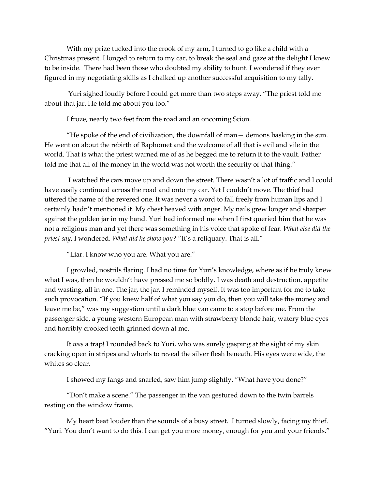With my prize tucked into the crook of my arm, I turned to go like a child with a Christmas present. I longed to return to my car, to break the seal and gaze at the delight I knew to be inside. There had been those who doubted my ability to hunt. I wondered if they ever figured in my negotiating skills as I chalked up another successful acquisition to my tally.

Yuri sighed loudly before I could get more than two steps away. "The priest told me about that jar. He told me about you too."

I froze, nearly two feet from the road and an oncoming Scion.

"He spoke of the end of civilization, the downfall of man— demons basking in the sun. He went on about the rebirth of Baphomet and the welcome of all that is evil and vile in the world. That is what the priest warned me of as he begged me to return it to the vault. Father told me that all of the money in the world was not worth the security of that thing."

I watched the cars move up and down the street. There wasn't a lot of traffic and I could have easily continued across the road and onto my car. Yet I couldn't move. The thief had uttered the name of the revered one. It was never a word to fall freely from human lips and I certainly hadn't mentioned it. My chest heaved with anger. My nails grew longer and sharper against the golden jar in my hand. Yuri had informed me when I first queried him that he was not a religious man and yet there was something in his voice that spoke of fear. *What else did the priest say*, I wondered. *What did he show you?* "It's a reliquary. That is all."

"Liar. I know who you are. What you are."

I growled, nostrils flaring. I had no time for Yuri's knowledge, where as if he truly knew what I was, then he wouldn't have pressed me so boldly. I was death and destruction, appetite and wasting, all in one. The jar, the jar, I reminded myself. It was too important for me to take such provocation. "If you knew half of what you say you do, then you will take the money and leave me be," was my suggestion until a dark blue van came to a stop before me. From the passenger side, a young western European man with strawberry blonde hair, watery blue eyes and horribly crooked teeth grinned down at me.

It *was* a trap! I rounded back to Yuri, who was surely gasping at the sight of my skin cracking open in stripes and whorls to reveal the silver flesh beneath. His eyes were wide, the whites so clear.

I showed my fangs and snarled, saw him jump slightly. "What have you done?"

"Don't make a scene." The passenger in the van gestured down to the twin barrels resting on the window frame.

My heart beat louder than the sounds of a busy street. I turned slowly, facing my thief. "Yuri. You don't want to do this. I can get you more money, enough for you and your friends."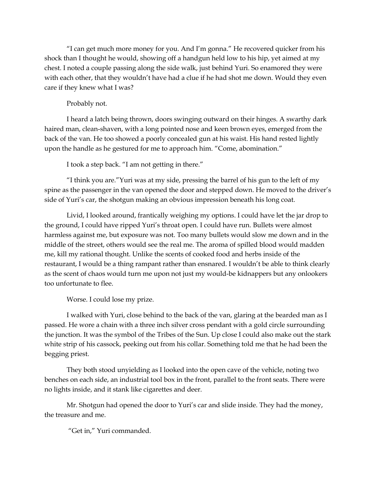"I can get much more money for you. And I'm gonna." He recovered quicker from his shock than I thought he would, showing off a handgun held low to his hip, yet aimed at my chest. I noted a couple passing along the side walk, just behind Yuri. So enamored they were with each other, that they wouldn't have had a clue if he had shot me down. Would they even care if they knew what I was?

## Probably not.

I heard a latch being thrown, doors swinging outward on their hinges. A swarthy dark haired man, clean-shaven, with a long pointed nose and keen brown eyes, emerged from the back of the van. He too showed a poorly concealed gun at his waist. His hand rested lightly upon the handle as he gestured for me to approach him. "Come, abomination."

I took a step back. "I am not getting in there."

"I think you are."Yuri was at my side, pressing the barrel of his gun to the left of my spine as the passenger in the van opened the door and stepped down. He moved to the driver's side of Yuri's car, the shotgun making an obvious impression beneath his long coat.

Livid, I looked around, frantically weighing my options. I could have let the jar drop to the ground, I could have ripped Yuri's throat open. I could have run. Bullets were almost harmless against me, but exposure was not. Too many bullets would slow me down and in the middle of the street, others would see the real me. The aroma of spilled blood would madden me, kill my rational thought. Unlike the scents of cooked food and herbs inside of the restaurant, I would be a thing rampant rather than ensnared. I wouldn't be able to think clearly as the scent of chaos would turn me upon not just my would-be kidnappers but any onlookers too unfortunate to flee.

Worse. I could lose my prize.

I walked with Yuri, close behind to the back of the van, glaring at the bearded man as I passed. He wore a chain with a three inch silver cross pendant with a gold circle surrounding the junction. It was the symbol of the Tribes of the Sun. Up close I could also make out the stark white strip of his cassock, peeking out from his collar. Something told me that he had been the begging priest.

They both stood unyielding as I looked into the open cave of the vehicle, noting two benches on each side, an industrial tool box in the front, parallel to the front seats. There were no lights inside, and it stank like cigarettes and deer.

Mr. Shotgun had opened the door to Yuri's car and slide inside. They had the money, the treasure and me.

"Get in," Yuri commanded.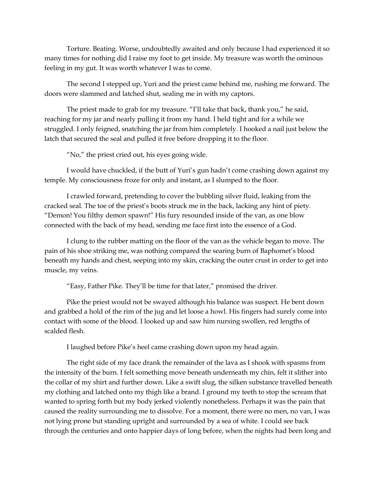Torture. Beating. Worse, undoubtedly awaited and only because I had experienced it so many times for nothing did I raise my foot to get inside. My treasure was worth the ominous feeling in my gut. It was worth whatever I was to come.

The second I stepped up, Yuri and the priest came behind me, rushing me forward. The doors were slammed and latched shut, sealing me in with my captors.

The priest made to grab for my treasure. "I'll take that back, thank you," he said, reaching for my jar and nearly pulling it from my hand. I held tight and for a while we struggled. I only feigned, snatching the jar from him completely. I hooked a nail just below the latch that secured the seal and pulled it free before dropping it to the floor.

"No," the priest cried out, his eyes going wide.

I would have chuckled, if the butt of Yuri's gun hadn't come crashing down against my temple. My consciousness froze for only and instant, as I slumped to the floor.

I crawled forward, pretending to cover the bubbling silver fluid, leaking from the cracked seal. The toe of the priest's boots struck me in the back, lacking any hint of piety. "Demon! You filthy demon spawn!" His fury resounded inside of the van, as one blow connected with the back of my head, sending me face first into the essence of a God.

I clung to the rubber matting on the floor of the van as the vehicle began to move. The pain of his shoe striking me, was nothing compared the searing burn of Baphomet's blood beneath my hands and chest, seeping into my skin, cracking the outer crust in order to get into muscle, my veins.

"Easy, Father Pike. They'll be time for that later," promised the driver.

Pike the priest would not be swayed although his balance was suspect. He bent down and grabbed a hold of the rim of the jug and let loose a howl. His fingers had surely come into contact with some of the blood. I looked up and saw him nursing swollen, red lengths of scalded flesh.

I laughed before Pike's heel came crashing down upon my head again.

The right side of my face drank the remainder of the lava as I shook with spasms from the intensity of the burn. I felt something move beneath underneath my chin, felt it slither into the collar of my shirt and further down. Like a swift slug, the silken substance travelled beneath my clothing and latched onto my thigh like a brand. I ground my teeth to stop the scream that wanted to spring forth but my body jerked violently nonetheless. Perhaps it was the pain that caused the reality surrounding me to dissolve. For a moment, there were no men, no van, I was not lying prone but standing upright and surrounded by a sea of white. I could see back through the centuries and onto happier days of long before, when the nights had been long and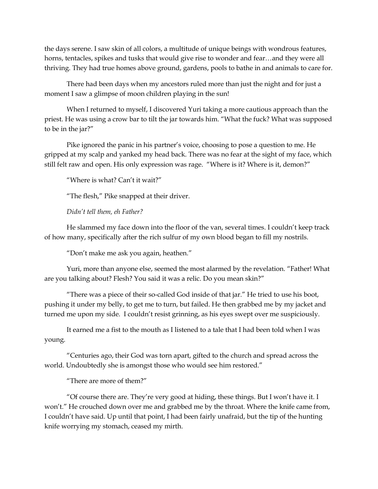the days serene. I saw skin of all colors, a multitude of unique beings with wondrous features, horns, tentacles, spikes and tusks that would give rise to wonder and fear…and they were all thriving. They had true homes above ground, gardens, pools to bathe in and animals to care for.

There had been days when my ancestors ruled more than just the night and for just a moment I saw a glimpse of moon children playing in the sun!

When I returned to myself, I discovered Yuri taking a more cautious approach than the priest. He was using a crow bar to tilt the jar towards him. "What the fuck? What was supposed to be in the jar?"

Pike ignored the panic in his partner's voice, choosing to pose a question to me. He gripped at my scalp and yanked my head back. There was no fear at the sight of my face, which still felt raw and open. His only expression was rage. "Where is it? Where is it, demon?"

"Where is what? Can't it wait?"

"The flesh," Pike snapped at their driver.

*Didn't tell them, eh Father?*

He slammed my face down into the floor of the van, several times. I couldn't keep track of how many, specifically after the rich sulfur of my own blood began to fill my nostrils.

"Don't make me ask you again, heathen."

Yuri, more than anyone else, seemed the most alarmed by the revelation. "Father! What are you talking about? Flesh? You said it was a relic. Do you mean skin?"

"There was a piece of their so-called God inside of that jar." He tried to use his boot, pushing it under my belly, to get me to turn, but failed. He then grabbed me by my jacket and turned me upon my side. I couldn't resist grinning, as his eyes swept over me suspiciously.

It earned me a fist to the mouth as I listened to a tale that I had been told when I was young.

"Centuries ago, their God was torn apart, gifted to the church and spread across the world. Undoubtedly she is amongst those who would see him restored."

"There are more of them?"

"Of course there are. They're very good at hiding, these things. But I won't have it. I won't." He crouched down over me and grabbed me by the throat. Where the knife came from, I couldn't have said. Up until that point, I had been fairly unafraid, but the tip of the hunting knife worrying my stomach, ceased my mirth.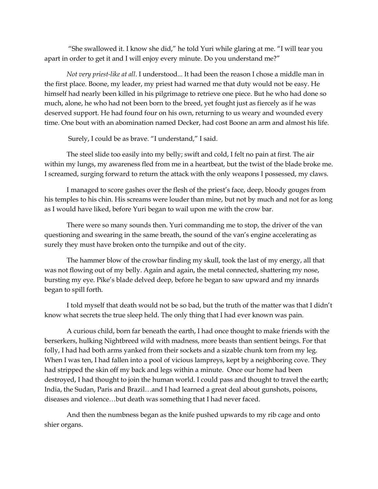"She swallowed it. I know she did," he told Yuri while glaring at me. "I will tear you apart in order to get it and I will enjoy every minute. Do you understand me?"

*Not very priest-like at all*. I understood... It had been the reason I chose a middle man in the first place. Boone, my leader, my priest had warned me that duty would not be easy. He himself had nearly been killed in his pilgrimage to retrieve one piece. But he who had done so much, alone, he who had not been born to the breed, yet fought just as fiercely as if he was deserved support. He had found four on his own, returning to us weary and wounded every time. One bout with an abomination named Decker, had cost Boone an arm and almost his life.

Surely, I could be as brave. "I understand," I said.

The steel slide too easily into my belly; swift and cold, I felt no pain at first. The air within my lungs, my awareness fled from me in a heartbeat, but the twist of the blade broke me. I screamed, surging forward to return the attack with the only weapons I possessed, my claws.

I managed to score gashes over the flesh of the priest's face, deep, bloody gouges from his temples to his chin. His screams were louder than mine, but not by much and not for as long as I would have liked, before Yuri began to wail upon me with the crow bar.

There were so many sounds then. Yuri commanding me to stop, the driver of the van questioning and swearing in the same breath, the sound of the van's engine accelerating as surely they must have broken onto the turnpike and out of the city.

The hammer blow of the crowbar finding my skull, took the last of my energy, all that was not flowing out of my belly. Again and again, the metal connected, shattering my nose, bursting my eye. Pike's blade delved deep, before he began to saw upward and my innards began to spill forth.

I told myself that death would not be so bad, but the truth of the matter was that I didn't know what secrets the true sleep held. The only thing that I had ever known was pain.

A curious child, born far beneath the earth, I had once thought to make friends with the berserkers, hulking Nightbreed wild with madness, more beasts than sentient beings. For that folly, I had had both arms yanked from their sockets and a sizable chunk torn from my leg. When I was ten, I had fallen into a pool of vicious lampreys, kept by a neighboring cove. They had stripped the skin off my back and legs within a minute. Once our home had been destroyed, I had thought to join the human world. I could pass and thought to travel the earth; India, the Sudan, Paris and Brazil…and I had learned a great deal about gunshots, poisons, diseases and violence…but death was something that I had never faced.

And then the numbness began as the knife pushed upwards to my rib cage and onto shier organs.